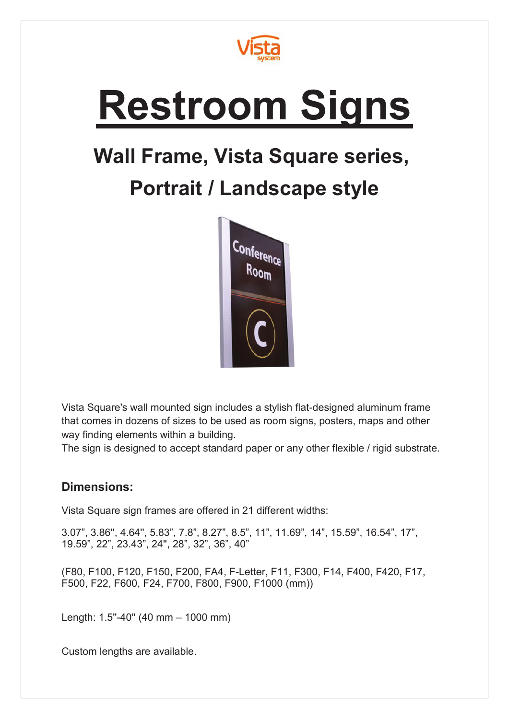

## **Restroom Signs**

## **Wall Frame, Vista Square series,**

## **Portrait / Landscape style**



Vista Square's wall mounted sign includes a stylish flat-designed aluminum frame that comes in dozens of sizes to be used as room signs, posters, maps and other way finding elements within a building.

The sign is designed to accept standard paper or any other flexible / rigid substrate.

## **Dimensions:**

Vista Square sign frames are offered in 21 different widths:

3.07", 3.86'', 4.64'', 5.83", 7.8", 8.27", 8.5", 11", 11.69", 14", 15.59", 16.54", 17", 19.59", 22", 23.43", 24'', 28", 32", 36", 40"

(F80, F100, F120, F150, F200, FA4, F-Letter, F11, F300, F14, F400, F420, F17, F500, F22, F600, F24, F700, F800, F900, F1000 (mm))

Length: 1.5"-40" (40 mm - 1000 mm)

Custom lengths are available.